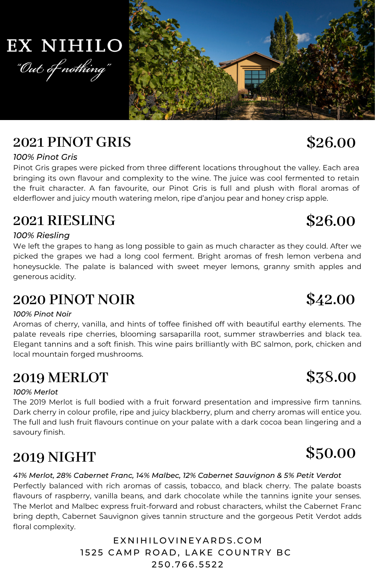

## **2021 RIESLING**

### *100% Riesling*

We left the grapes to hang as long possible to gain as much character as they could. After we picked the grapes we had a long cool ferment. Bright aromas of fresh lemon verbena and honeysuckle. The palate is balanced with sweet meyer lemons, granny smith apples and generous acidity.

### **2020 PINOT NOIR**

### *100% Pinot Noir*

Aromas of cherry, vanilla, and hints of toffee finished off with beautiful earthy elements. The palate reveals ripe cherries, blooming sarsaparilla root, summer strawberries and black tea. Elegant tannins and a soft finish. This wine pairs brilliantly with BC salmon, pork, chicken and local mountain forged mushrooms.

## **2019 MERLOT**

### *100% Merlot*

The 2019 Merlot is full bodied with a fruit forward presentation and impressive firm tannins. Dark cherry in colour profile, ripe and juicy blackberry, plum and cherry aromas will entice you. The full and lush fruit flavours continue on your palate with a dark cocoa bean lingering and a savoury finish.

## **2019 NIGHT**

*41% Merlot, 28% Cabernet Franc, 14% Malbec, 12% Cabernet Sauvignon & 5% Petit Verdot* Perfectly balanced with rich aromas of cassis, tobacco, and black cherry. The palate boasts flavours of raspberry, vanilla beans, and dark chocolate while the tannins ignite your senses. The Merlot and Malbec express fruit-forward and robust characters, whilst the Cabernet Franc bring depth, Cabernet Sauvignon gives tannin structure and the gorgeous Petit Verdot adds floral complexity.

E X N I H I LO V I N E Y A R D S . C O M 1525 CAMP ROAD, LAKE COUNTRY BC 2 5 0 . 7 6 6 . 5 5 2 2

## **2021 PINOT GRIS**

*100% Pinot Gris*

Pinot Gris grapes were picked from three different locations throughout the valley. Each area bringing its own flavour and complexity to the wine. The juice was cool fermented to retain the fruit character. A fan favourite, our Pinot Gris is full and plush with floral aromas of

# "Out of nothing"

## **EX NIHILO**



## **\$42.00**

**\$38.00**

## **\$50.00**

## **\$26.00**